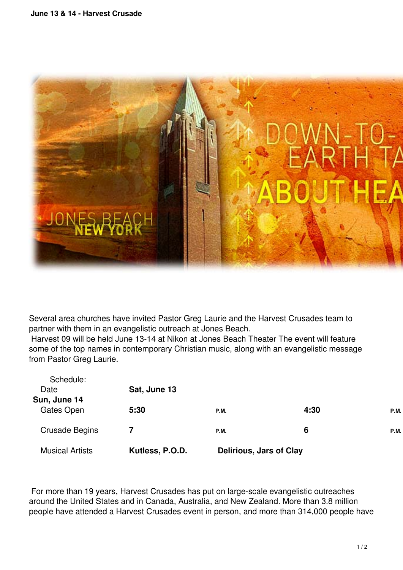

Several area churches have invited Pastor Greg Laurie and the Harvest Crusades team to partner with them in an evangelistic outreach at Jones Beach.

 Harvest 09 will be held June 13-14 at Nikon at Jones Beach Theater The event will feature some of the top names in contemporary Christian music, along with an evangelistic message from Pastor Greg Laurie.

| <b>Musical Artists</b>     | Kutless, P.O.D. | <b>Delirious, Jars of Clay</b> |      |      |
|----------------------------|-----------------|--------------------------------|------|------|
| <b>Crusade Begins</b>      | 7               | <b>P.M.</b>                    | 6    | P.M. |
| Sun, June 14<br>Gates Open | 5:30            | <b>P.M.</b>                    | 4:30 | P.M. |
| Date                       | Sat, June 13    |                                |      |      |
| Schedule:                  |                 |                                |      |      |

 For more than 19 years, Harvest Crusades has put on large-scale evangelistic outreaches around the United States and in Canada, Australia, and New Zealand. More than 3.8 million people have attended a Harvest Crusades event in person, and more than 314,000 people have